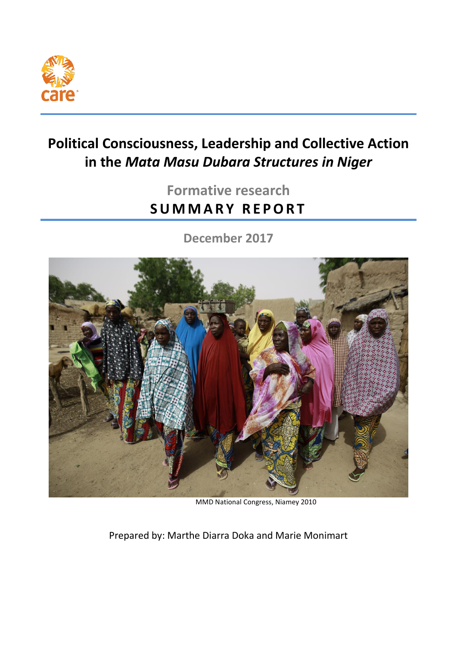

# **Political Consciousness, Leadership and Collective Action in the** *Mata Masu Dubara Structures in Niger*

# **Formative research SU M M A R Y R E P O R T**

**December 2017**



MMD National Congress, Niamey 2010

Prepared by: Marthe Diarra Doka and Marie Monimart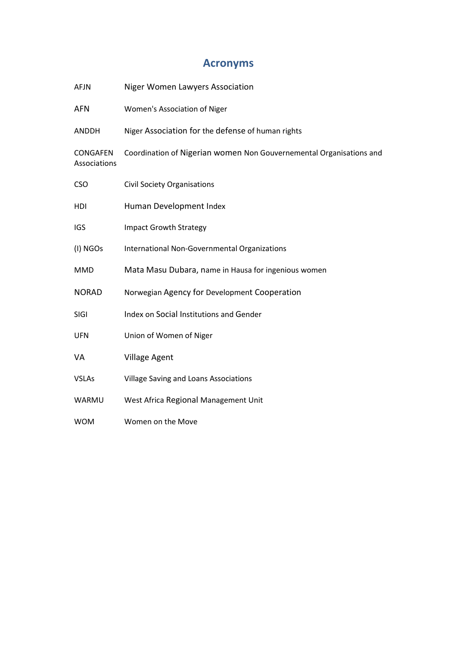## **Acronyms**

| <b>AFJN</b>                     | <b>Niger Women Lawyers Association</b>                              |
|---------------------------------|---------------------------------------------------------------------|
| <b>AFN</b>                      | Women's Association of Niger                                        |
| <b>ANDDH</b>                    | Niger Association for the defense of human rights                   |
| <b>CONGAFEN</b><br>Associations | Coordination of Nigerian women Non Gouvernemental Organisations and |
| <b>CSO</b>                      | <b>Civil Society Organisations</b>                                  |
| HDI                             | Human Development Index                                             |
| <b>IGS</b>                      | <b>Impact Growth Strategy</b>                                       |
| (I) NGOs                        | International Non-Governmental Organizations                        |
| <b>MMD</b>                      | Mata Masu Dubara, name in Hausa for ingenious women                 |
| <b>NORAD</b>                    | Norwegian Agency for Development Cooperation                        |
| <b>SIGI</b>                     | Index on Social Institutions and Gender                             |
| <b>UFN</b>                      | Union of Women of Niger                                             |
| VA                              | <b>Village Agent</b>                                                |
| <b>VSLAs</b>                    | Village Saving and Loans Associations                               |
| WARMU                           | West Africa Regional Management Unit                                |
| <b>WOM</b>                      | Women on the Move                                                   |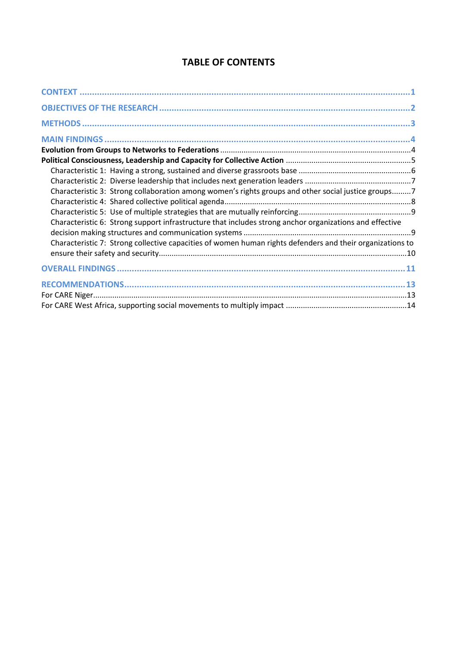| Characteristic 3: Strong collaboration among women's rights groups and other social justice groups7       |  |
|-----------------------------------------------------------------------------------------------------------|--|
| Characteristic 6: Strong support infrastructure that includes strong anchor organizations and effective   |  |
| Characteristic 7: Strong collective capacities of women human rights defenders and their organizations to |  |
|                                                                                                           |  |
|                                                                                                           |  |
|                                                                                                           |  |
|                                                                                                           |  |

## **TABLE OF CONTENTS**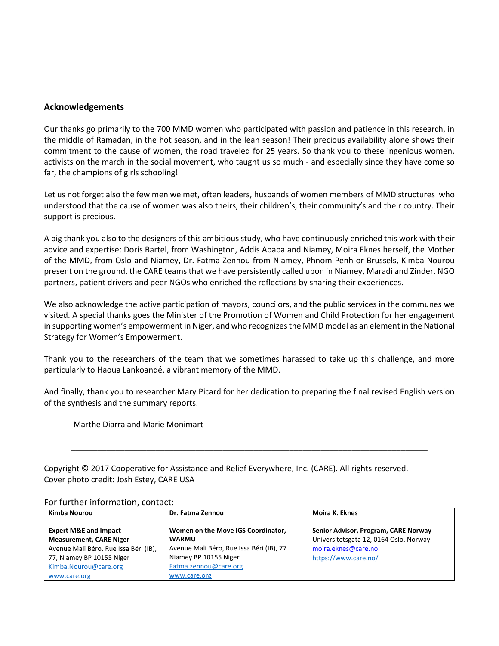#### **Acknowledgements**

Our thanks go primarily to the 700 MMD women who participated with passion and patience in this research, in the middle of Ramadan, in the hot season, and in the lean season! Their precious availability alone shows their commitment to the cause of women, the road traveled for 25 years. So thank you to these ingenious women, activists on the march in the social movement, who taught us so much - and especially since they have come so far, the champions of girls schooling!

Let us not forget also the few men we met, often leaders, husbands of women members of MMD structures who understood that the cause of women was also theirs, their children's, their community's and their country. Their support is precious.

A big thank you also to the designers of this ambitious study, who have continuously enriched this work with their advice and expertise: Doris Bartel, from Washington, Addis Ababa and Niamey, Moira Eknes herself, the Mother of the MMD, from Oslo and Niamey, Dr. Fatma Zennou from Niamey, Phnom-Penh or Brussels, Kimba Nourou present on the ground, the CARE teams that we have persistently called upon in Niamey, Maradi and Zinder, NGO partners, patient drivers and peer NGOs who enriched the reflections by sharing their experiences.

We also acknowledge the active participation of mayors, councilors, and the public services in the communes we visited. A special thanks goes the Minister of the Promotion of Women and Child Protection for her engagement in supporting women's empowerment in Niger, and who recognizes the MMD model as an element in the National Strategy for Women's Empowerment.

Thank you to the researchers of the team that we sometimes harassed to take up this challenge, and more particularly to Haoua Lankoandé, a vibrant memory of the MMD.

And finally, thank you to researcher Mary Picard for her dedication to preparing the final revised English version of the synthesis and the summary reports.

\_\_\_\_\_\_\_\_\_\_\_\_\_\_\_\_\_\_\_\_\_\_\_\_\_\_\_\_\_\_\_\_\_\_\_\_\_\_\_\_\_\_\_\_\_\_\_\_\_\_\_\_\_\_\_\_\_\_\_\_\_\_\_\_\_\_\_\_\_\_\_\_\_\_\_\_\_\_\_\_

- Marthe Diarra and Marie Monimart

| Copyright © 2017 Cooperative for Assistance and Relief Everywhere, Inc. (CARE). All rights reserved. |
|------------------------------------------------------------------------------------------------------|
| Cover photo credit: Josh Estey, CARE USA                                                             |

| Kimba Nourou                                                       | Dr. Fatma Zennou                                   | Moira K. Eknes                                                                 |
|--------------------------------------------------------------------|----------------------------------------------------|--------------------------------------------------------------------------------|
| <b>Expert M&amp;E and Impact</b><br><b>Measurement, CARE Niger</b> | Women on the Move IGS Coordinator,<br><b>WARMU</b> | Senior Advisor, Program, CARE Norway<br>Universitetsgata 12, 0164 Oslo, Norway |
| Avenue Mali Béro, Rue Issa Béri (IB),                              | Avenue Mali Béro, Rue Issa Béri (IB), 77           | moira.eknes@care.no                                                            |
| 77, Niamey BP 10155 Niger                                          | Niamey BP 10155 Niger                              | https://www.care.no/                                                           |
| Kimba.Nourou@care.org                                              | Fatma.zennou@care.org                              |                                                                                |
| www.care.org                                                       | www.care.org                                       |                                                                                |

For further information, contact: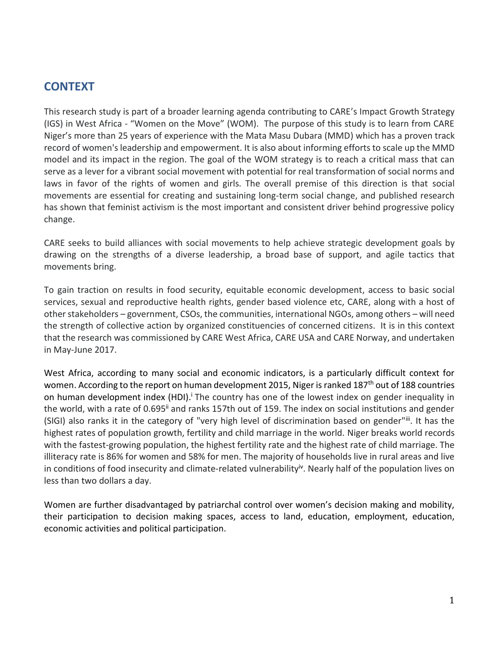## **CONTEXT**

This research study is part of a broader learning agenda contributing to CARE's Impact Growth Strategy (IGS) in West Africa - "Women on the Move" (WOM). The purpose of this study is to learn from CARE Niger's more than 25 years of experience with the Mata Masu Dubara (MMD) which has a proven track record of women's leadership and empowerment. It is also about informing efforts to scale up the MMD model and its impact in the region. The goal of the WOM strategy is to reach a critical mass that can serve as a lever for a vibrant social movement with potential for real transformation of social norms and laws in favor of the rights of women and girls. The overall premise of this direction is that social movements are essential for creating and sustaining long-term social change, and published research has shown that feminist activism is the most important and consistent driver behind progressive policy change.

CARE seeks to build alliances with social movements to help achieve strategic development goals by drawing on the strengths of a diverse leadership, a broad base of support, and agile tactics that movements bring.

To gain traction on results in food security, equitable economic development, access to basic social services, sexual and reproductive health rights, gender based violence etc, CARE, along with a host of other stakeholders – government, CSOs, the communities, international NGOs, among others – will need the strength of collective action by organized constituencies of concerned citizens. It is in this context that the research was commissioned by CARE West Africa, CARE USA and CARE Norway, and undertaken in May-June 2017.

West Africa, according to many social and economic indicators, is a particularly difficult context for women. According to the report on human development 2015, Niger is ranked 187<sup>th</sup> out of 188 countries on human development index (HDI).<sup>†</sup> The country has one of the lowest index on gender inequality in the world, with a rate of 0.695<sup>ii</sup> and ranks 157th out of 159. The index on social institutions and gender (SIGI) also ranks it in the category of "very high level of discrimination based on gender"iii. It has the highest rates of population growth, fertility and child marriage in the world. Niger breaks world records with the fastest-growing population, the highest fertility rate and the highest rate of child marriage. The illiteracy rate is 86% for women and 58% for men. The majority of households live in rural areas and live in conditions of food insecurity and climate-related vulnerability<sup>iv</sup>. Nearly half of the population lives on less than two dollars a day.

Women are further disadvantaged by patriarchal control over women's decision making and mobility, their participation to decision making spaces, access to land, education, employment, education, economic activities and political participation.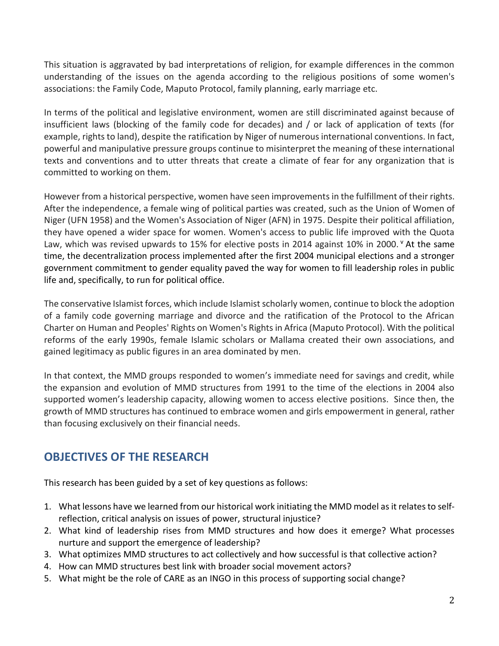This situation is aggravated by bad interpretations of religion, for example differences in the common understanding of the issues on the agenda according to the religious positions of some women's associations: the Family Code, Maputo Protocol, family planning, early marriage etc.

In terms of the political and legislative environment, women are still discriminated against because of insufficient laws (blocking of the family code for decades) and / or lack of application of texts (for example, rights to land), despite the ratification by Niger of numerous international conventions. In fact, powerful and manipulative pressure groups continue to misinterpret the meaning of these international texts and conventions and to utter threats that create a climate of fear for any organization that is committed to working on them.

However from a historical perspective, women have seen improvements in the fulfillment of their rights. After the independence, a female wing of political parties was created, such as the Union of Women of Niger (UFN 1958) and the Women's Association of Niger (AFN) in 1975. Despite their political affiliation, they have opened a wider space for women. Women's access to public life improved with the Quota Law, which was revised upwards to 15% for elective posts in 2014 against 10% in 2000. Y At the same time, the decentralization process implemented after the first 2004 municipal elections and a stronger government commitment to gender equality paved the way for women to fill leadership roles in public life and, specifically, to run for political office.

The conservative Islamist forces, which include Islamist scholarly women, continue to block the adoption of a family code governing marriage and divorce and the ratification of the Protocol to the African Charter on Human and Peoples' Rights on Women's Rights in Africa (Maputo Protocol). With the political reforms of the early 1990s, female Islamic scholars or Mallama created their own associations, and gained legitimacy as public figures in an area dominated by men.

In that context, the MMD groups responded to women's immediate need for savings and credit, while the expansion and evolution of MMD structures from 1991 to the time of the elections in 2004 also supported women's leadership capacity, allowing women to access elective positions. Since then, the growth of MMD structures has continued to embrace women and girls empowerment in general, rather than focusing exclusively on their financial needs.

## **OBJECTIVES OF THE RESEARCH**

This research has been guided by a set of key questions as follows:

- 1. What lessons have we learned from our historical work initiating the MMD model as it relates to selfreflection, critical analysis on issues of power, structural injustice?
- 2. What kind of leadership rises from MMD structures and how does it emerge? What processes nurture and support the emergence of leadership?
- 3. What optimizes MMD structures to act collectively and how successful is that collective action?
- 4. How can MMD structures best link with broader social movement actors?
- 5. What might be the role of CARE as an INGO in this process of supporting social change?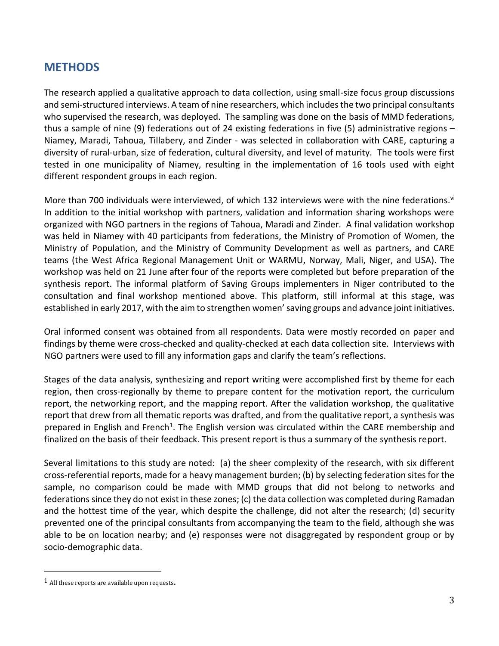## **METHODS**

The research applied a qualitative approach to data collection, using small-size focus group discussions and semi-structured interviews. A team of nine researchers, which includes the two principal consultants who supervised the research, was deployed. The sampling was done on the basis of MMD federations, thus a sample of nine (9) federations out of 24 existing federations in five (5) administrative regions – Niamey, Maradi, Tahoua, Tillabery, and Zinder - was selected in collaboration with CARE, capturing a diversity of rural-urban, size of federation, cultural diversity, and level of maturity. The tools were first tested in one municipality of Niamey, resulting in the implementation of 16 tools used with eight different respondent groups in each region.

More than 700 individuals were interviewed, of which 132 interviews were with the nine federations.<sup>V</sup> In addition to the initial workshop with partners, validation and information sharing workshops were organized with NGO partners in the regions of Tahoua, Maradi and Zinder. A final validation workshop was held in Niamey with 40 participants from federations, the Ministry of Promotion of Women, the Ministry of Population, and the Ministry of Community Development as well as partners, and CARE teams (the West Africa Regional Management Unit or WARMU, Norway, Mali, Niger, and USA). The workshop was held on 21 June after four of the reports were completed but before preparation of the synthesis report. The informal platform of Saving Groups implementers in Niger contributed to the consultation and final workshop mentioned above. This platform, still informal at this stage, was established in early 2017, with the aim to strengthen women' saving groups and advance joint initiatives.

Oral informed consent was obtained from all respondents. Data were mostly recorded on paper and findings by theme were cross-checked and quality-checked at each data collection site. Interviews with NGO partners were used to fill any information gaps and clarify the team's reflections.

Stages of the data analysis, synthesizing and report writing were accomplished first by theme for each region, then cross-regionally by theme to prepare content for the motivation report, the curriculum report, the networking report, and the mapping report. After the validation workshop, the qualitative report that drew from all thematic reports was drafted, and from the qualitative report, a synthesis was prepared in English and French<sup>1</sup>. The English version was circulated within the CARE membership and finalized on the basis of their feedback. This present report is thus a summary of the synthesis report.

Several limitations to this study are noted: (a) the sheer complexity of the research, with six different cross-referential reports, made for a heavy management burden; (b) by selecting federation sites for the sample, no comparison could be made with MMD groups that did not belong to networks and federationssince they do not exist in these zones; (c) the data collection was completed during Ramadan and the hottest time of the year, which despite the challenge, did not alter the research; (d) security prevented one of the principal consultants from accompanying the team to the field, although she was able to be on location nearby; and (e) responses were not disaggregated by respondent group or by socio-demographic data.

l

<sup>1</sup> All these reports are available upon requests.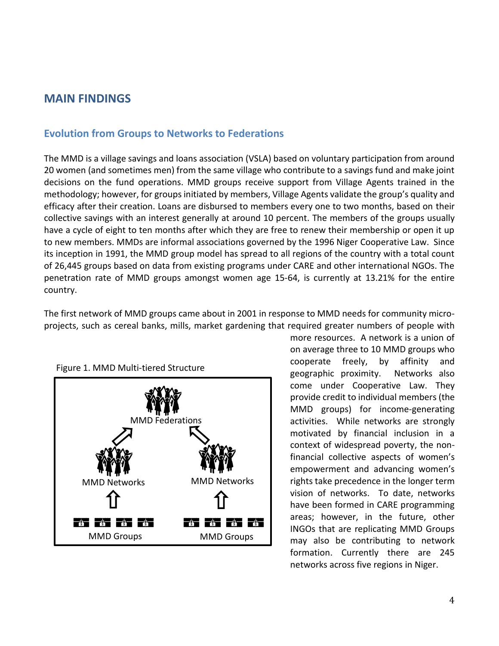## **MAIN FINDINGS**

#### **Evolution from Groups to Networks to Federations**

The MMD is a village savings and loans association (VSLA) based on voluntary participation from around 20 women (and sometimes men) from the same village who contribute to a savings fund and make joint decisions on the fund operations. MMD groups receive support from Village Agents trained in the methodology; however, for groups initiated by members, Village Agents validate the group's quality and efficacy after their creation. Loans are disbursed to members every one to two months, based on their collective savings with an interest generally at around 10 percent. The members of the groups usually have a cycle of eight to ten months after which they are free to renew their membership or open it up to new members. MMDs are informal associations governed by the 1996 Niger Cooperative Law. Since its inception in 1991, the MMD group model has spread to all regions of the country with a total count of 26,445 groups based on data from existing programs under CARE and other international NGOs. The penetration rate of MMD groups amongst women age 15-64, is currently at 13.21% for the entire country.

The first network of MMD groups came about in 2001 in response to MMD needs for community microprojects, such as cereal banks, mills, market gardening that required greater numbers of people with



Figure 1. MMD Multi-tiered Structure

more resources. A network is a union of on average three to 10 MMD groups who cooperate freely, by affinity and geographic proximity. Networks also come under Cooperative Law. They provide credit to individual members (the MMD groups) for income-generating activities. While networks are strongly motivated by financial inclusion in a context of widespread poverty, the nonfinancial collective aspects of women's empowerment and advancing women's rights take precedence in the longer term vision of networks. To date, networks have been formed in CARE programming areas; however, in the future, other INGOs that are replicating MMD Groups may also be contributing to network formation. Currently there are 245 networks across five regions in Niger.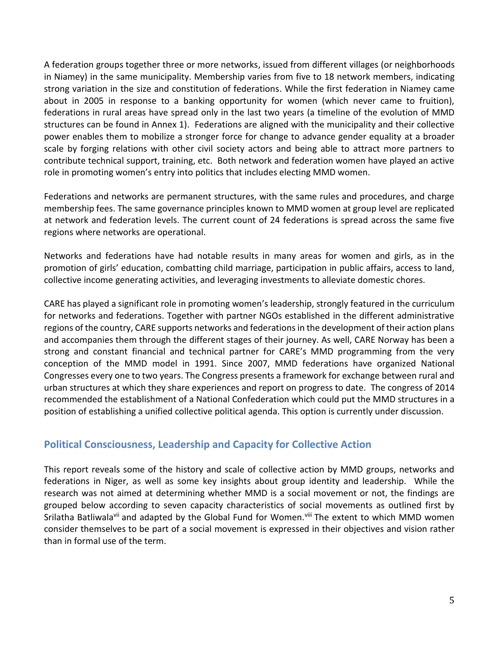A federation groups together three or more networks, issued from different villages (or neighborhoods in Niamey) in the same municipality. Membership varies from five to 18 network members, indicating strong variation in the size and constitution of federations. While the first federation in Niamey came about in 2005 in response to a banking opportunity for women (which never came to fruition), federations in rural areas have spread only in the last two years (a timeline of the evolution of MMD structures can be found in Annex 1). Federations are aligned with the municipality and their collective power enables them to mobilize a stronger force for change to advance gender equality at a broader scale by forging relations with other civil society actors and being able to attract more partners to contribute technical support, training, etc. Both network and federation women have played an active role in promoting women's entry into politics that includes electing MMD women.

Federations and networks are permanent structures, with the same rules and procedures, and charge membership fees. The same governance principles known to MMD women at group level are replicated at network and federation levels. The current count of 24 federations is spread across the same five regions where networks are operational.

Networks and federations have had notable results in many areas for women and girls, as in the promotion of girls' education, combatting child marriage, participation in public affairs, access to land, collective income generating activities, and leveraging investments to alleviate domestic chores.

CARE has played a significant role in promoting women's leadership, strongly featured in the curriculum for networks and federations. Together with partner NGOs established in the different administrative regions of the country, CARE supports networks and federations in the development of their action plans and accompanies them through the different stages of their journey. As well, CARE Norway has been a strong and constant financial and technical partner for CARE's MMD programming from the very conception of the MMD model in 1991. Since 2007, MMD federations have organized National Congresses every one to two years. The Congress presents a framework for exchange between rural and urban structures at which they share experiences and report on progress to date. The congress of 2014 recommended the establishment of a National Confederation which could put the MMD structures in a position of establishing a unified collective political agenda. This option is currently under discussion.

### **Political Consciousness, Leadership and Capacity for Collective Action**

This report reveals some of the history and scale of collective action by MMD groups, networks and federations in Niger, as well as some key insights about group identity and leadership. While the research was not aimed at determining whether MMD is a social movement or not, the findings are grouped below according to seven capacity characteristics of social movements as outlined first by Srilatha Batliwala<sup>vii</sup> and adapted by the Global Fund for Women.<sup>viii</sup> The extent to which MMD women consider themselves to be part of a social movement is expressed in their objectives and vision rather than in formal use of the term.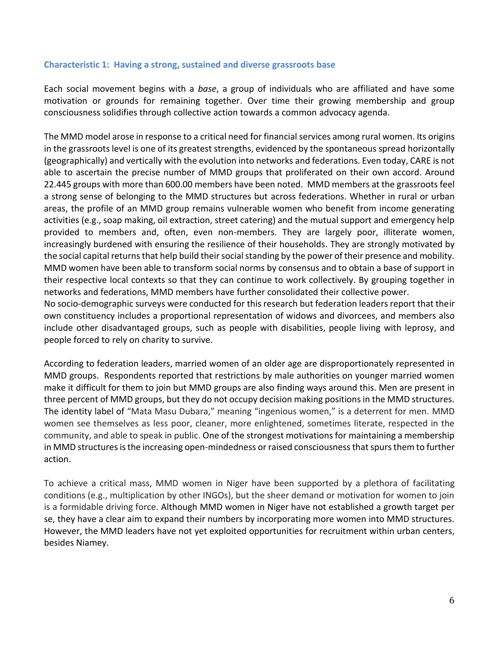#### **Characteristic 1: Having a strong, sustained and diverse grassroots base**

Each social movement begins with a *base*, a group of individuals who are affiliated and have some motivation or grounds for remaining together. Over time their growing membership and group consciousness solidifies through collective action towards a common advocacy agenda.

The MMD model arose in response to a critical need for financial services among rural women. Its origins in the grassroots level is one of its greatest strengths, evidenced by the spontaneous spread horizontally (geographically) and vertically with the evolution into networks and federations. Even today, CARE is not able to ascertain the precise number of MMD groups that proliferated on their own accord. Around 22.445 groups with more than 600.00 members have been noted. MMD members at the grassroots feel a strong sense of belonging to the MMD structures but across federations. Whether in rural or urban areas, the profile of an MMD group remains vulnerable women who benefit from income generating activities (e.g., soap making, oil extraction, street catering) and the mutual support and emergency help provided to members and, often, even non-members. They are largely poor, illiterate women, increasingly burdened with ensuring the resilience of their households. They are strongly motivated by the social capital returnsthat help build their social standing by the power of their presence and mobility. MMD women have been able to transform social norms by consensus and to obtain a base of support in their respective local contexts so that they can continue to work collectively. By grouping together in networks and federations, MMD members have further consolidated their collective power.

No socio-demographic surveys were conducted for this research but federation leaders report that their own constituency includes a proportional representation of widows and divorcees, and members also include other disadvantaged groups, such as people with disabilities, people living with leprosy, and people forced to rely on charity to survive.

According to federation leaders, married women of an older age are disproportionately represented in MMD groups. Respondents reported that restrictions by male authorities on younger married women make it difficult for them to join but MMD groups are also finding ways around this. Men are present in three percent of MMD groups, but they do not occupy decision making positions in the MMD structures. The identity label of "Mata Masu Dubara," meaning "ingenious women," is a deterrent for men. MMD women see themselves as less poor, cleaner, more enlightened, sometimes literate, respected in the community, and able to speak in public. One of the strongest motivations for maintaining a membership in MMD structures is the increasing open-mindedness or raised consciousness that spurs them to further action.

To achieve a critical mass, MMD women in Niger have been supported by a plethora of facilitating conditions (e.g., multiplication by other INGOs), but the sheer demand or motivation for women to join is a formidable driving force. Although MMD women in Niger have not established a growth target per se, they have a clear aim to expand their numbers by incorporating more women into MMD structures. However, the MMD leaders have not yet exploited opportunities for recruitment within urban centers, besides Niamey.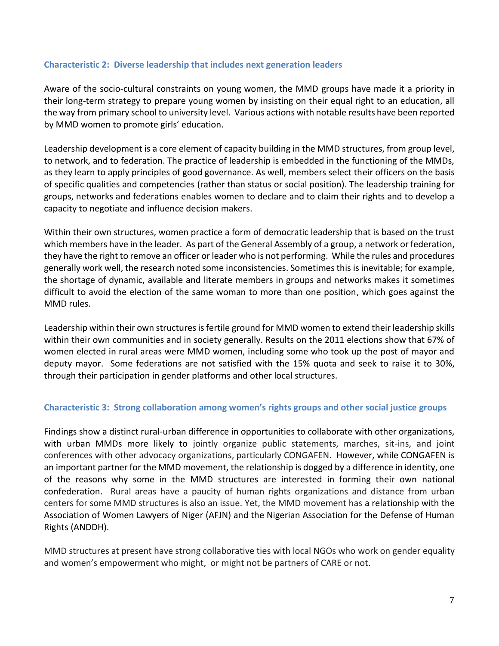#### **Characteristic 2: Diverse leadership that includes next generation leaders**

Aware of the socio-cultural constraints on young women, the MMD groups have made it a priority in their long-term strategy to prepare young women by insisting on their equal right to an education, all the way from primary school to university level. Various actions with notable results have been reported by MMD women to promote girls' education.

Leadership development is a core element of capacity building in the MMD structures, from group level, to network, and to federation. The practice of leadership is embedded in the functioning of the MMDs, as they learn to apply principles of good governance. As well, members select their officers on the basis of specific qualities and competencies (rather than status or social position). The leadership training for groups, networks and federations enables women to declare and to claim their rights and to develop a capacity to negotiate and influence decision makers.

Within their own structures, women practice a form of democratic leadership that is based on the trust which members have in the leader. As part of the General Assembly of a group, a network or federation, they have the right to remove an officer or leader who is not performing. While the rules and procedures generally work well, the research noted some inconsistencies. Sometimes this is inevitable; for example, the shortage of dynamic, available and literate members in groups and networks makes it sometimes difficult to avoid the election of the same woman to more than one position, which goes against the MMD rules.

Leadership within their own structures is fertile ground for MMD women to extend their leadership skills within their own communities and in society generally. Results on the 2011 elections show that 67% of women elected in rural areas were MMD women, including some who took up the post of mayor and deputy mayor. Some federations are not satisfied with the 15% quota and seek to raise it to 30%, through their participation in gender platforms and other local structures.

#### **Characteristic 3: Strong collaboration among women's rights groups and other social justice groups**

Findings show a distinct rural-urban difference in opportunities to collaborate with other organizations, with urban MMDs more likely to jointly organize public statements, marches, sit-ins, and joint conferences with other advocacy organizations, particularly CONGAFEN. However, while CONGAFEN is an important partner for the MMD movement, the relationship is dogged by a difference in identity, one of the reasons why some in the MMD structures are interested in forming their own national confederation. Rural areas have a paucity of human rights organizations and distance from urban centers for some MMD structures is also an issue. Yet, the MMD movement has a relationship with the Association of Women Lawyers of Niger (AFJN) and the Nigerian Association for the Defense of Human Rights (ANDDH).

MMD structures at present have strong collaborative ties with local NGOs who work on gender equality and women's empowerment who might, or might not be partners of CARE or not.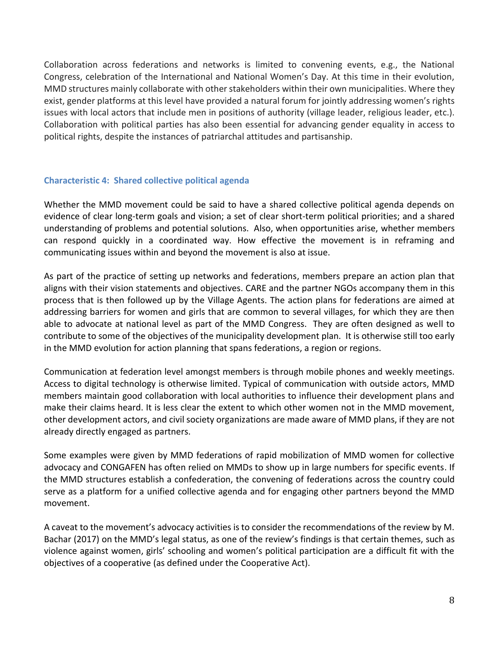Collaboration across federations and networks is limited to convening events, e.g., the National Congress, celebration of the International and National Women's Day. At this time in their evolution, MMD structures mainly collaborate with other stakeholders within their own municipalities. Where they exist, gender platforms at this level have provided a natural forum for jointly addressing women's rights issues with local actors that include men in positions of authority (village leader, religious leader, etc.). Collaboration with political parties has also been essential for advancing gender equality in access to political rights, despite the instances of patriarchal attitudes and partisanship.

#### **Characteristic 4: Shared collective political agenda**

Whether the MMD movement could be said to have a shared collective political agenda depends on evidence of clear long-term goals and vision; a set of clear short-term political priorities; and a shared understanding of problems and potential solutions. Also, when opportunities arise, whether members can respond quickly in a coordinated way. How effective the movement is in reframing and communicating issues within and beyond the movement is also at issue.

As part of the practice of setting up networks and federations, members prepare an action plan that aligns with their vision statements and objectives. CARE and the partner NGOs accompany them in this process that is then followed up by the Village Agents. The action plans for federations are aimed at addressing barriers for women and girls that are common to several villages, for which they are then able to advocate at national level as part of the MMD Congress. They are often designed as well to contribute to some of the objectives of the municipality development plan. It is otherwise still too early in the MMD evolution for action planning that spans federations, a region or regions.

Communication at federation level amongst members is through mobile phones and weekly meetings. Access to digital technology is otherwise limited. Typical of communication with outside actors, MMD members maintain good collaboration with local authorities to influence their development plans and make their claims heard. It is less clear the extent to which other women not in the MMD movement, other development actors, and civil society organizations are made aware of MMD plans, if they are not already directly engaged as partners.

Some examples were given by MMD federations of rapid mobilization of MMD women for collective advocacy and CONGAFEN has often relied on MMDs to show up in large numbers for specific events. If the MMD structures establish a confederation, the convening of federations across the country could serve as a platform for a unified collective agenda and for engaging other partners beyond the MMD movement.

A caveat to the movement's advocacy activities is to consider the recommendations of the review by M. Bachar (2017) on the MMD's legal status, as one of the review's findings is that certain themes, such as violence against women, girls' schooling and women's political participation are a difficult fit with the objectives of a cooperative (as defined under the Cooperative Act).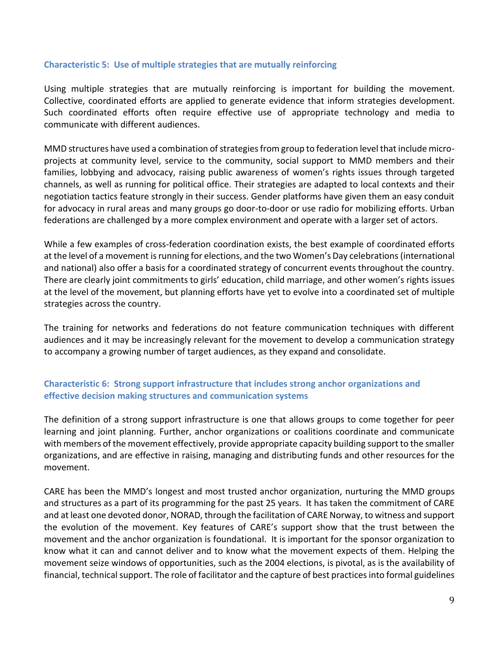#### **Characteristic 5: Use of multiple strategies that are mutually reinforcing**

Using multiple strategies that are mutually reinforcing is important for building the movement. Collective, coordinated efforts are applied to generate evidence that inform strategies development. Such coordinated efforts often require effective use of appropriate technology and media to communicate with different audiences.

MMD structures have used a combination of strategies from group to federation level that include microprojects at community level, service to the community, social support to MMD members and their families, lobbying and advocacy, raising public awareness of women's rights issues through targeted channels, as well as running for political office. Their strategies are adapted to local contexts and their negotiation tactics feature strongly in their success. Gender platforms have given them an easy conduit for advocacy in rural areas and many groups go door-to-door or use radio for mobilizing efforts. Urban federations are challenged by a more complex environment and operate with a larger set of actors.

While a few examples of cross-federation coordination exists, the best example of coordinated efforts at the level of a movement is running for elections, and the two Women's Day celebrations(international and national) also offer a basis for a coordinated strategy of concurrent events throughout the country. There are clearly joint commitments to girls' education, child marriage, and other women's rights issues at the level of the movement, but planning efforts have yet to evolve into a coordinated set of multiple strategies across the country.

The training for networks and federations do not feature communication techniques with different audiences and it may be increasingly relevant for the movement to develop a communication strategy to accompany a growing number of target audiences, as they expand and consolidate.

#### **Characteristic 6: Strong support infrastructure that includes strong anchor organizations and effective decision making structures and communication systems**

The definition of a strong support infrastructure is one that allows groups to come together for peer learning and joint planning. Further, anchor organizations or coalitions coordinate and communicate with members of the movement effectively, provide appropriate capacity building support to the smaller organizations, and are effective in raising, managing and distributing funds and other resources for the movement.

CARE has been the MMD's longest and most trusted anchor organization, nurturing the MMD groups and structures as a part of its programming for the past 25 years. It has taken the commitment of CARE and at least one devoted donor, NORAD, through the facilitation of CARE Norway, to witness and support the evolution of the movement. Key features of CARE's support show that the trust between the movement and the anchor organization is foundational. It is important for the sponsor organization to know what it can and cannot deliver and to know what the movement expects of them. Helping the movement seize windows of opportunities, such as the 2004 elections, is pivotal, as is the availability of financial, technical support. The role of facilitator and the capture of best practices into formal guidelines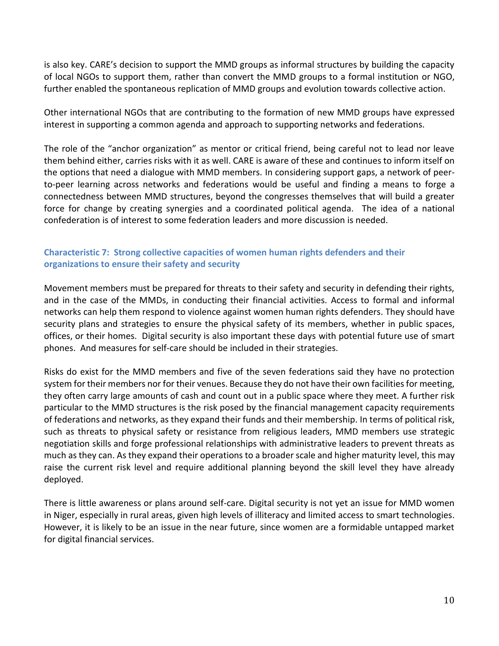is also key. CARE's decision to support the MMD groups as informal structures by building the capacity of local NGOs to support them, rather than convert the MMD groups to a formal institution or NGO, further enabled the spontaneous replication of MMD groups and evolution towards collective action.

Other international NGOs that are contributing to the formation of new MMD groups have expressed interest in supporting a common agenda and approach to supporting networks and federations.

The role of the "anchor organization" as mentor or critical friend, being careful not to lead nor leave them behind either, carries risks with it as well. CARE is aware of these and continues to inform itself on the options that need a dialogue with MMD members. In considering support gaps, a network of peerto-peer learning across networks and federations would be useful and finding a means to forge a connectedness between MMD structures, beyond the congresses themselves that will build a greater force for change by creating synergies and a coordinated political agenda. The idea of a national confederation is of interest to some federation leaders and more discussion is needed.

#### **Characteristic 7: Strong collective capacities of women human rights defenders and their organizations to ensure their safety and security**

Movement members must be prepared for threats to their safety and security in defending their rights, and in the case of the MMDs, in conducting their financial activities. Access to formal and informal networks can help them respond to violence against women human rights defenders. They should have security plans and strategies to ensure the physical safety of its members, whether in public spaces, offices, or their homes. Digital security is also important these days with potential future use of smart phones. And measures for self-care should be included in their strategies.

Risks do exist for the MMD members and five of the seven federations said they have no protection system for their members nor for their venues. Because they do not have their own facilities for meeting, they often carry large amounts of cash and count out in a public space where they meet. A further risk particular to the MMD structures is the risk posed by the financial management capacity requirements of federations and networks, as they expand their funds and their membership. In terms of political risk, such as threats to physical safety or resistance from religious leaders, MMD members use strategic negotiation skills and forge professional relationships with administrative leaders to prevent threats as much as they can. As they expand their operations to a broader scale and higher maturity level, this may raise the current risk level and require additional planning beyond the skill level they have already deployed.

There is little awareness or plans around self-care. Digital security is not yet an issue for MMD women in Niger, especially in rural areas, given high levels of illiteracy and limited access to smart technologies. However, it is likely to be an issue in the near future, since women are a formidable untapped market for digital financial services.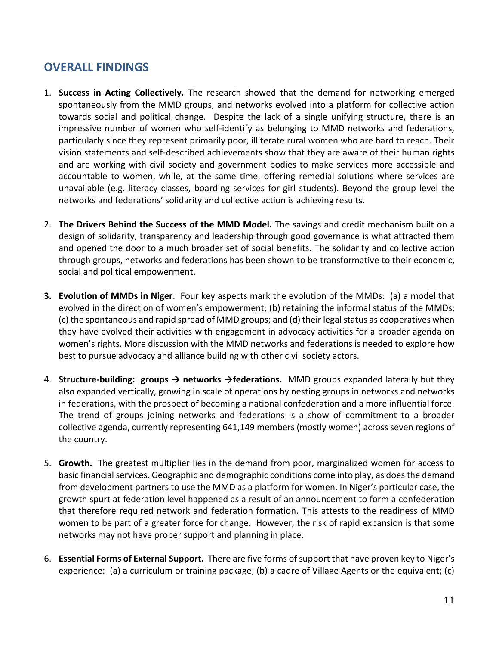## **OVERALL FINDINGS**

- 1. **Success in Acting Collectively.** The research showed that the demand for networking emerged spontaneously from the MMD groups, and networks evolved into a platform for collective action towards social and political change. Despite the lack of a single unifying structure, there is an impressive number of women who self-identify as belonging to MMD networks and federations, particularly since they represent primarily poor, illiterate rural women who are hard to reach. Their vision statements and self-described achievements show that they are aware of their human rights and are working with civil society and government bodies to make services more accessible and accountable to women, while, at the same time, offering remedial solutions where services are unavailable (e.g. literacy classes, boarding services for girl students). Beyond the group level the networks and federations' solidarity and collective action is achieving results.
- 2. **The Drivers Behind the Success of the MMD Model.** The savings and credit mechanism built on a design of solidarity, transparency and leadership through good governance is what attracted them and opened the door to a much broader set of social benefits. The solidarity and collective action through groups, networks and federations has been shown to be transformative to their economic, social and political empowerment.
- **3. Evolution of MMDs in Niger**. Four key aspects mark the evolution of the MMDs: (a) a model that evolved in the direction of women's empowerment; (b) retaining the informal status of the MMDs; (c) the spontaneous and rapid spread of MMD groups; and (d) their legal status as cooperatives when they have evolved their activities with engagement in advocacy activities for a broader agenda on women's rights. More discussion with the MMD networks and federations is needed to explore how best to pursue advocacy and alliance building with other civil society actors.
- 4. **Structure-building: groups → networks →federations.** MMD groups expanded laterally but they also expanded vertically, growing in scale of operations by nesting groups in networks and networks in federations, with the prospect of becoming a national confederation and a more influential force. The trend of groups joining networks and federations is a show of commitment to a broader collective agenda, currently representing 641,149 members (mostly women) across seven regions of the country.
- 5. **Growth.** The greatest multiplier lies in the demand from poor, marginalized women for access to basic financial services. Geographic and demographic conditions come into play, as does the demand from development partners to use the MMD as a platform for women. In Niger's particular case, the growth spurt at federation level happened as a result of an announcement to form a confederation that therefore required network and federation formation. This attests to the readiness of MMD women to be part of a greater force for change. However, the risk of rapid expansion is that some networks may not have proper support and planning in place.
- 6. **Essential Forms of External Support.** There are five forms of support that have proven key to Niger's experience: (a) a curriculum or training package; (b) a cadre of Village Agents or the equivalent; (c)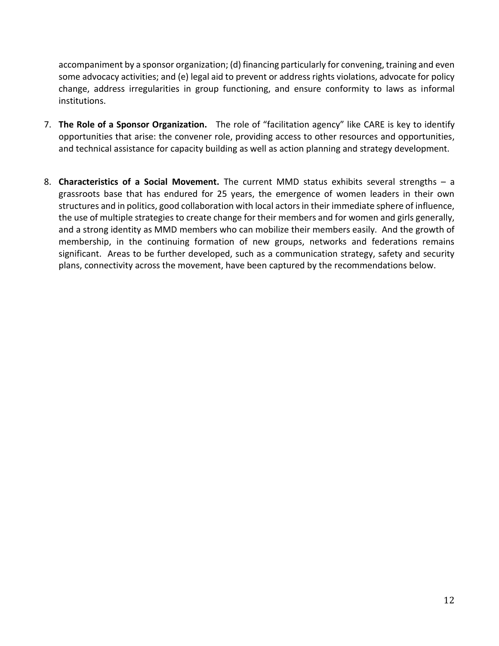accompaniment by a sponsor organization; (d) financing particularly for convening, training and even some advocacy activities; and (e) legal aid to prevent or address rights violations, advocate for policy change, address irregularities in group functioning, and ensure conformity to laws as informal institutions.

- 7. **The Role of a Sponsor Organization.** The role of "facilitation agency" like CARE is key to identify opportunities that arise: the convener role, providing access to other resources and opportunities, and technical assistance for capacity building as well as action planning and strategy development.
- 8. **Characteristics of a Social Movement.** The current MMD status exhibits several strengths a grassroots base that has endured for 25 years, the emergence of women leaders in their own structures and in politics, good collaboration with local actors in their immediate sphere of influence, the use of multiple strategies to create change for their members and for women and girls generally, and a strong identity as MMD members who can mobilize their members easily. And the growth of membership, in the continuing formation of new groups, networks and federations remains significant. Areas to be further developed, such as a communication strategy, safety and security plans, connectivity across the movement, have been captured by the recommendations below.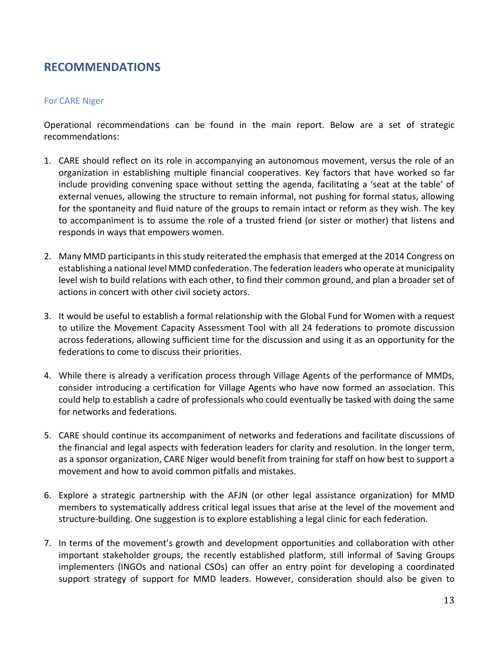## **RECOMMENDATIONS**

#### For CARE Niger

Operational recommendations can be found in the main report. Below are a set of strategic recommendations:

- 1. CARE should reflect on its role in accompanying an autonomous movement, versus the role of an organization in establishing multiple financial cooperatives. Key factors that have worked so far include providing convening space without setting the agenda, facilitating a 'seat at the table' of external venues, allowing the structure to remain informal, not pushing for formal status, allowing for the spontaneity and fluid nature of the groups to remain intact or reform as they wish. The key to accompaniment is to assume the role of a trusted friend (or sister or mother) that listens and responds in ways that empowers women.
- 2. Many MMD participants in this study reiterated the emphasis that emerged at the 2014 Congress on establishing a national level MMD confederation. The federation leaders who operate at municipality level wish to build relations with each other, to find their common ground, and plan a broader set of actions in concert with other civil society actors.
- 3. It would be useful to establish a formal relationship with the Global Fund for Women with a request to utilize the Movement Capacity Assessment Tool with all 24 federations to promote discussion across federations, allowing sufficient time for the discussion and using it as an opportunity for the federations to come to discuss their priorities.
- 4. While there is already a verification process through Village Agents of the performance of MMDs, consider introducing a certification for Village Agents who have now formed an association. This could help to establish a cadre of professionals who could eventually be tasked with doing the same for networks and federations.
- 5. CARE should continue its accompaniment of networks and federations and facilitate discussions of the financial and legal aspects with federation leaders for clarity and resolution. In the longer term, as a sponsor organization, CARE Niger would benefit from training for staff on how best to support a movement and how to avoid common pitfalls and mistakes.
- 6. Explore a strategic partnership with the AFJN (or other legal assistance organization) for MMD members to systematically address critical legal issues that arise at the level of the movement and structure-building. One suggestion is to explore establishing a legal clinic for each federation.
- 7. In terms of the movement's growth and development opportunities and collaboration with other important stakeholder groups, the recently established platform, still informal of Saving Groups implementers (INGOs and national CSOs) can offer an entry point for developing a coordinated support strategy of support for MMD leaders. However, consideration should also be given to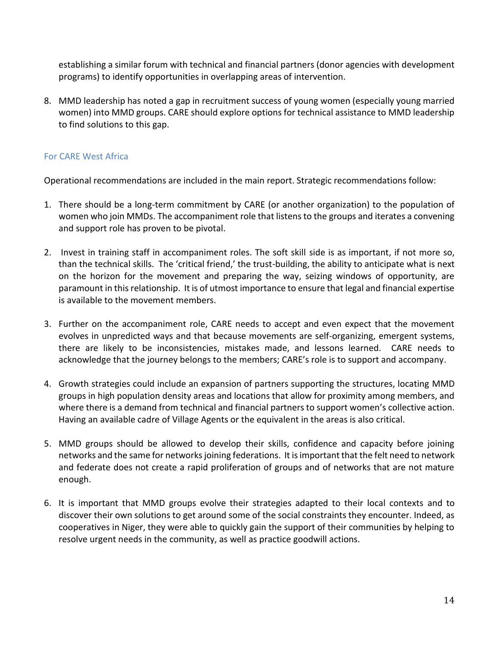establishing a similar forum with technical and financial partners (donor agencies with development programs) to identify opportunities in overlapping areas of intervention.

8. MMD leadership has noted a gap in recruitment success of young women (especially young married women) into MMD groups. CARE should explore options for technical assistance to MMD leadership to find solutions to this gap.

#### For CARE West Africa

Operational recommendations are included in the main report. Strategic recommendations follow:

- 1. There should be a long-term commitment by CARE (or another organization) to the population of women who join MMDs. The accompaniment role that listens to the groups and iterates a convening and support role has proven to be pivotal.
- 2. Invest in training staff in accompaniment roles. The soft skill side is as important, if not more so, than the technical skills. The 'critical friend,' the trust-building, the ability to anticipate what is next on the horizon for the movement and preparing the way, seizing windows of opportunity, are paramount in this relationship. It is of utmost importance to ensure that legal and financial expertise is available to the movement members.
- 3. Further on the accompaniment role, CARE needs to accept and even expect that the movement evolves in unpredicted ways and that because movements are self-organizing, emergent systems, there are likely to be inconsistencies, mistakes made, and lessons learned. CARE needs to acknowledge that the journey belongs to the members; CARE's role is to support and accompany.
- 4. Growth strategies could include an expansion of partners supporting the structures, locating MMD groups in high population density areas and locations that allow for proximity among members, and where there is a demand from technical and financial partners to support women's collective action. Having an available cadre of Village Agents or the equivalent in the areas is also critical.
- 5. MMD groups should be allowed to develop their skills, confidence and capacity before joining networks and the same for networks joining federations. It is important that the felt need to network and federate does not create a rapid proliferation of groups and of networks that are not mature enough.
- 6. It is important that MMD groups evolve their strategies adapted to their local contexts and to discover their own solutions to get around some of the social constraints they encounter. Indeed, as cooperatives in Niger, they were able to quickly gain the support of their communities by helping to resolve urgent needs in the community, as well as practice goodwill actions.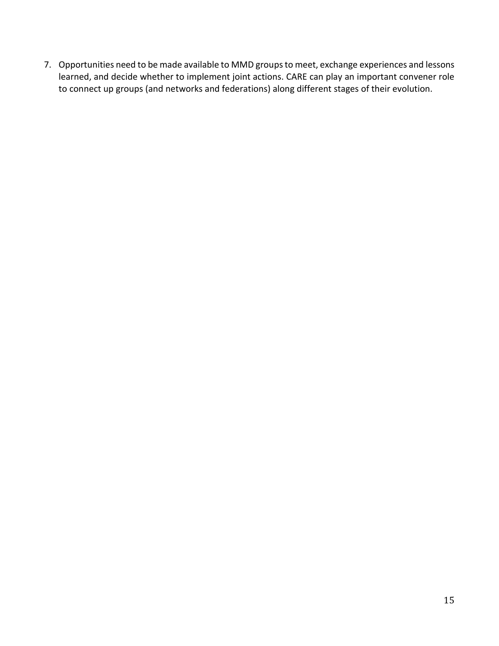7. Opportunities need to be made available to MMD groups to meet, exchange experiences and lessons learned, and decide whether to implement joint actions. CARE can play an important convener role to connect up groups (and networks and federations) along different stages of their evolution.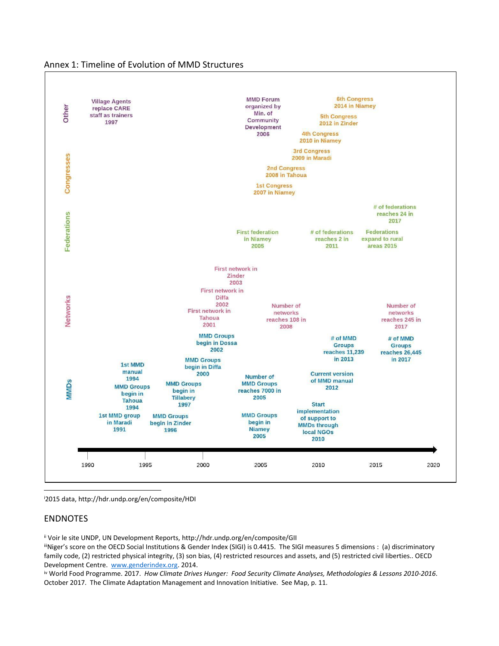



<sup>i</sup>2015 data, http://hdr.undp.org/en/composite/HDI

#### ENDNOTES

ii Voir le site UNDP, UN Development Reports, http://hdr.undp.org/en/composite/GII

iiiNiger's score on the OECD Social Institutions & Gender Index (SIGI) is 0.4415. The SIGI measures 5 dimensions : (a) discriminatory family code, (2) restricted physical integrity, (3) son bias, (4) restricted resources and assets, and (5) restricted civil liberties.. OECD Development Centre. [www.genderindex.org.](http://www.genderindex.org/) 2014.

iv World Food Programme. 2017. *How Climate Drives Hunger: Food Security Climate Analyses, Methodologies & Lessons 2010-2016*. October 2017. The Climate Adaptation Management and Innovation Initiative. See Map, p. 11.